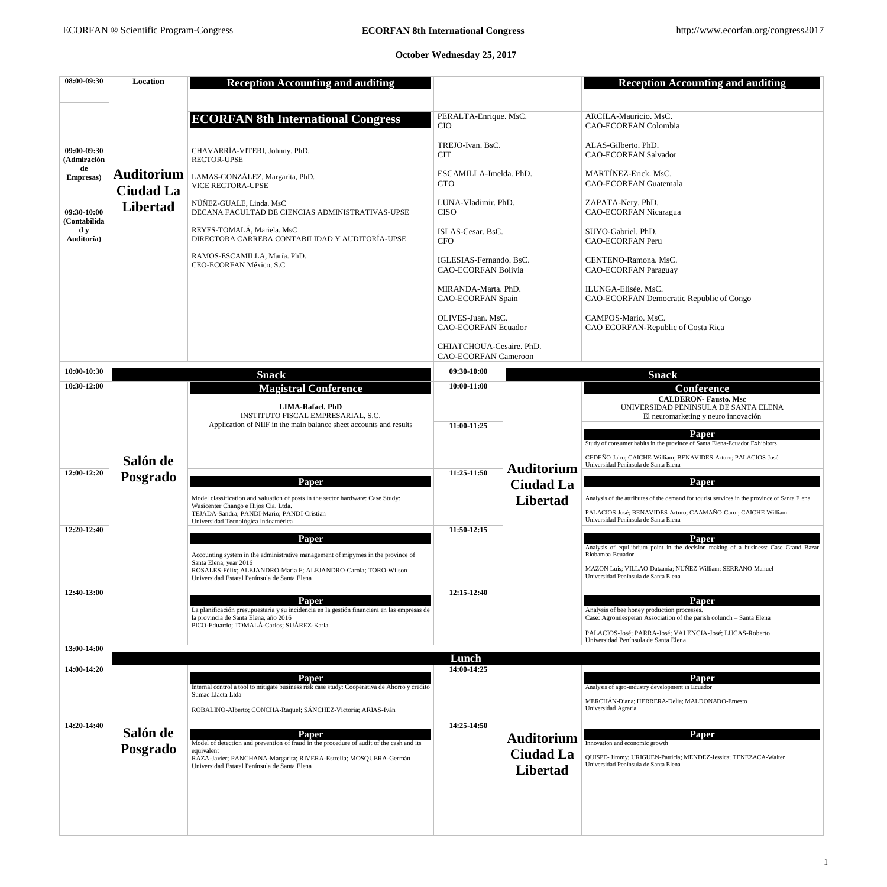1

## **October Wednesday 25, 2017**

| 08:00-09:30                           | Location                              | <b>Reception Accounting and auditing</b>                                                                                                                                                                                      |                                                         |                   | <b>Reception Accounting and auditing</b>                                                                                    |
|---------------------------------------|---------------------------------------|-------------------------------------------------------------------------------------------------------------------------------------------------------------------------------------------------------------------------------|---------------------------------------------------------|-------------------|-----------------------------------------------------------------------------------------------------------------------------|
|                                       |                                       |                                                                                                                                                                                                                               |                                                         |                   |                                                                                                                             |
|                                       |                                       | <b>ECORFAN 8th International Congress</b>                                                                                                                                                                                     | PERALTA-Enrique. MsC.<br><b>CIO</b>                     |                   | ARCILA-Mauricio. MsC.<br><b>CAO-ECORFAN Colombia</b>                                                                        |
| 09:00-09:30<br>(Admiración            |                                       | CHAVARRÍA-VITERI, Johnny. PhD.<br><b>RECTOR-UPSE</b>                                                                                                                                                                          | TREJO-Ivan. BsC.<br><b>CIT</b>                          |                   | ALAS-Gilberto. PhD.<br><b>CAO-ECORFAN Salvador</b>                                                                          |
| de<br>Empresas)                       | <b>Auditorium</b><br><b>Ciudad La</b> | LAMAS-GONZÁLEZ, Margarita, PhD.<br><b>VICE RECTORA-UPSE</b>                                                                                                                                                                   | ESCAMILLA-Imelda. PhD.<br><b>CTO</b>                    |                   | MARTÍNEZ-Erick. MsC.<br><b>CAO-ECORFAN Guatemala</b>                                                                        |
| 09:30-10:00<br>(Contabilida           | <b>Libertad</b>                       | NÚÑEZ-GUALE, Linda. MsC<br>DECANA FACULTAD DE CIENCIAS ADMINISTRATIVAS-UPSE                                                                                                                                                   | LUNA-Vladimir. PhD.<br><b>CISO</b>                      |                   | ZAPATA-Nery. PhD.<br><b>CAO-ECORFAN Nicaragua</b>                                                                           |
| $\mathbf{d} \mathbf{y}$<br>Auditoría) |                                       | REYES-TOMALÁ, Mariela. MsC<br>DIRECTORA CARRERA CONTABILIDAD Y AUDITORÍA-UPSE                                                                                                                                                 | ISLAS-Cesar. BsC.<br><b>CFO</b>                         |                   | SUYO-Gabriel. PhD.<br><b>CAO-ECORFAN Peru</b>                                                                               |
|                                       |                                       | RAMOS-ESCAMILLA, María. PhD.<br>CEO-ECORFAN México, S.C                                                                                                                                                                       | IGLESIAS-Fernando. BsC.<br><b>CAO-ECORFAN Bolivia</b>   |                   | CENTENO-Ramona. MsC.<br><b>CAO-ECORFAN Paraguay</b>                                                                         |
|                                       |                                       |                                                                                                                                                                                                                               | MIRANDA-Marta. PhD.<br><b>CAO-ECORFAN Spain</b>         |                   | ILUNGA-Elisée. MsC.<br><b>CAO-ECORFAN Democratic Republic of Congo</b>                                                      |
|                                       |                                       |                                                                                                                                                                                                                               | OLIVES-Juan. MsC.<br><b>CAO-ECORFAN Ecuador</b>         |                   | CAMPOS-Mario. MsC.<br>CAO ECORFAN-Republic of Costa Rica                                                                    |
|                                       |                                       |                                                                                                                                                                                                                               | CHIATCHOUA-Cesaire. PhD.<br><b>CAO-ECORFAN Cameroon</b> |                   |                                                                                                                             |
| 10:00-10:30                           |                                       | <b>Snack</b>                                                                                                                                                                                                                  | 09:30-10:00                                             |                   | <b>Snack</b>                                                                                                                |
| 10:30-12:00                           |                                       | <b>Magistral Conference</b>                                                                                                                                                                                                   | $10:00-11:00$                                           |                   | <b>Conference</b>                                                                                                           |
|                                       |                                       | <b>LIMA-Rafael</b> . PhD<br><b>INSTITUTO FISCAL EMPRESARIAL, S.C.</b>                                                                                                                                                         |                                                         |                   | <b>CALDERON- Fausto. Msc</b><br>UNIVERSIDAD PENINSULA DE SANTA ELENA<br>El neuromarketing y neuro innovación                |
|                                       |                                       | Application of NIIF in the main balance sheet accounts and results                                                                                                                                                            | 11:00-11:25                                             |                   | Paper                                                                                                                       |
|                                       |                                       |                                                                                                                                                                                                                               |                                                         |                   | Study of consumer habits in the province of Santa Elena-Ecuador Exhibitors                                                  |
|                                       | Salón de                              |                                                                                                                                                                                                                               |                                                         |                   | CEDEÑO-Jairo; CAICHE-William; BENAVIDES-Arturo; PALACIOS-José<br>Universidad Península de Santa Elena                       |
| 12:00-12:20                           | Posgrado                              | Paper                                                                                                                                                                                                                         | 11:25-11:50                                             | <b>Auditorium</b> | <b>Paper</b>                                                                                                                |
|                                       |                                       | Model classification and valuation of posts in the sector hardware: Case Study:                                                                                                                                               |                                                         | <b>Ciudad La</b>  | Analysis of the attributes of the demand for tourist services in the province of Santa Elena                                |
|                                       |                                       | Wasicenter Chango e Hijos Cia. Ltda.<br>TEJADA-Sandra; PANDI-Mario; PANDI-Cristian<br>Universidad Tecnológica Indoamérica                                                                                                     |                                                         | <b>Libertad</b>   | PALACIOS-José; BENAVIDES-Arturo; CAAMAÑO-Carol; CAICHE-William<br>Universidad Península de Santa Elena                      |
| 12:20-12:40                           |                                       | Paper                                                                                                                                                                                                                         | 11:50-12:15                                             |                   | <b>Paper</b><br>Analysis of equilibrium point in the decision making of a business: Case Grand Bazar<br>Riobamba-Ecuador    |
|                                       |                                       | Accounting system in the administrative management of mipymes in the province of<br>Santa Elena, year 2016<br>ROSALES-Félix; ALEJANDRO-María F; ALEJANDRO-Carola; TORO-Wilson<br>Universidad Estatal Península de Santa Elena |                                                         |                   | MAZON-Luis; VILLAO-Datzania; NUÑEZ-William; SERRANO-Manuel<br>Universidad Península de Santa Elena                          |
| 12:40-13:00                           |                                       |                                                                                                                                                                                                                               | 12:15-12:40                                             |                   |                                                                                                                             |
|                                       |                                       | <b>Paper</b><br>La planificación presupuestaria y su incidencia en la gestión financiera en las empresas de<br>la provincia de Santa Elena, año 2016                                                                          |                                                         |                   | Paper<br>Analysis of bee honey production processes.<br>Case: Agromiesperan Association of the parish colunch - Santa Elena |

| 13:00-14:00 |                             | ra provincia de Banta Elena, ano 2010<br>PICO-Eduardo; TOMALÁ-Carlos; SUÁREZ-Karla                                                                                                                                                   |             |                                                          | Case, rigionnesperant resociation of the parish columni-suma Elena<br>PALACIOS-José; PARRA-José; VALENCIA-José; LUCAS-Roberto<br>Universidad Península de Santa Elena |
|-------------|-----------------------------|--------------------------------------------------------------------------------------------------------------------------------------------------------------------------------------------------------------------------------------|-------------|----------------------------------------------------------|-----------------------------------------------------------------------------------------------------------------------------------------------------------------------|
|             |                             |                                                                                                                                                                                                                                      | Lunch       |                                                          |                                                                                                                                                                       |
| 14:00-14:20 |                             | Paper<br>Internal control a tool to mitigate business risk case study: Cooperativa de Ahorro y credito<br>Sumac Llacta Ltda<br>ROBALINO-Alberto; CONCHA-Raquel; SÁNCHEZ-Victoria; ARIAS-Iván                                         | 14:00-14:25 |                                                          | Paper<br>Analysis of agro-industry development in Ecuador<br>MERCHÁN-Diana; HERRERA-Delia; MALDONADO-Ernesto<br>Universidad Agraria                                   |
| 14:20-14:40 | Salón de<br><b>Posgrado</b> | Paper<br>Model of detection and prevention of fraud in the procedure of audit of the cash and its<br>equivalent<br>RAZA-Javier; PANCHANA-Margarita; RIVERA-Estrella; MOSQUERA-Germán<br>Universidad Estatal Península de Santa Elena | 14:25-14:50 | <b>Auditorium</b><br><b>Ciudad La</b><br><b>Libertad</b> | Paper<br>Innovation and economic growth<br>QUISPE- Jimmy; URIGUEN-Patricia; MENDEZ-Jessica; TENEZACA-Walter<br>Universidad Península de Santa Elena                   |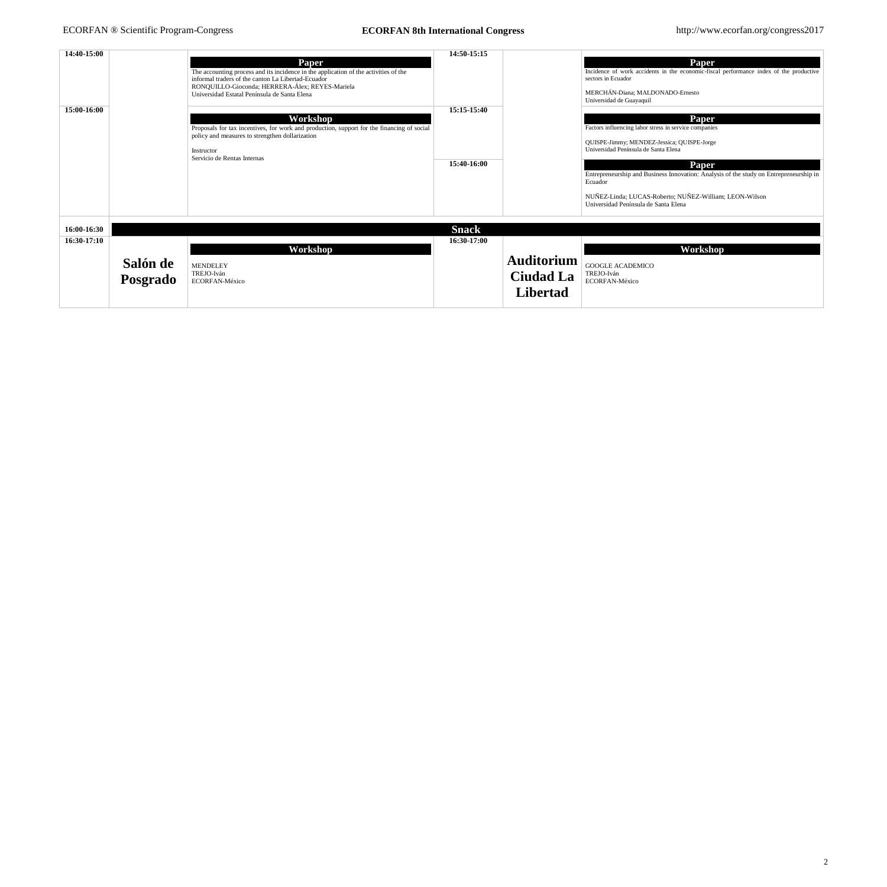2

| 14:40-15:00<br>15:00-16:00                                | <b>Paper</b><br>The accounting process and its incidence in the application of the activities of the<br>informal traders of the canton La Libertad-Ecuador<br>RONQUILLO-Gioconda; HERRERA-Álex; REYES-Mariela<br>Universidad Estatal Península de Santa Elena<br>Workshop<br>Proposals for tax incentives, for work and production, support for the financing of social<br>policy and measures to strengthen dollarization<br>Instructor<br>Servicio de Rentas Internas | 14:50-15:15<br>15:15-15:40<br>15:40-16:00 |                                                          | Paper<br>Incidence of work accidents in the economic-fiscal performance index of the productive<br>sectors in Ecuador<br>MERCHÁN-Diana; MALDONADO-Ernesto<br>Universidad de Guayaquil<br>Paper<br>Factors influencing labor stress in service companies<br>QUISPE-Jimmy; MENDEZ-Jessica; QUISPE-Jorge<br>Universidad Península de Santa Elena<br><b>Paper</b><br>Entrepreneurship and Business Innovation: Analysis of the study on Entrepreneurship in<br>Ecuador<br>NUÑEZ-Linda; LUCAS-Roberto; NUÑEZ-William; LEON-Wilson<br>Universidad Península de Santa Elena |
|-----------------------------------------------------------|-------------------------------------------------------------------------------------------------------------------------------------------------------------------------------------------------------------------------------------------------------------------------------------------------------------------------------------------------------------------------------------------------------------------------------------------------------------------------|-------------------------------------------|----------------------------------------------------------|----------------------------------------------------------------------------------------------------------------------------------------------------------------------------------------------------------------------------------------------------------------------------------------------------------------------------------------------------------------------------------------------------------------------------------------------------------------------------------------------------------------------------------------------------------------------|
| 16:00-16:30<br>16:30-17:10<br>Salón de<br><b>Posgrado</b> | Workshop<br><b>MENDELEY</b><br>TREJO-Iván<br>ECORFAN-México                                                                                                                                                                                                                                                                                                                                                                                                             | <b>Snack</b><br>16:30-17:00               | <b>Auditorium</b><br><b>Ciudad La</b><br><b>Libertad</b> | Workshop<br><b>GOOGLE ACADEMICO</b><br>TREJO-Iván<br>ECORFAN-México                                                                                                                                                                                                                                                                                                                                                                                                                                                                                                  |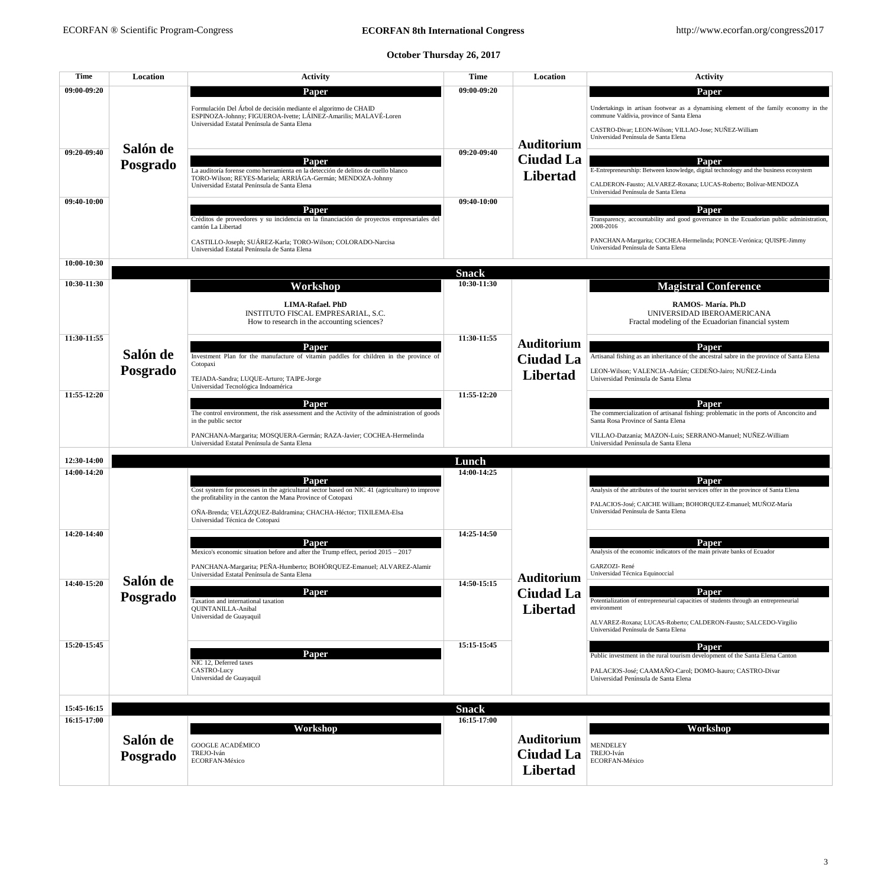## **October Thursday 26, 2017**

| <b>Time</b> | <b>Location</b> | <b>Activity</b>                                                                                                                                                                                          | <b>Time</b>                 | Location                            | <b>Activity</b>                                                                                                                                                                                                                     |
|-------------|-----------------|----------------------------------------------------------------------------------------------------------------------------------------------------------------------------------------------------------|-----------------------------|-------------------------------------|-------------------------------------------------------------------------------------------------------------------------------------------------------------------------------------------------------------------------------------|
| 09:00-09:20 |                 | <b>Paper</b>                                                                                                                                                                                             | 09:00-09:20                 |                                     | Paper                                                                                                                                                                                                                               |
|             |                 | Formulación Del Árbol de decisión mediante el algoritmo de CHAID<br>ESPINOZA-Johnny; FIGUEROA-Ivette; LÁINEZ-Amarilis; MALAVÉ-Loren<br>Universidad Estatal Península de Santa Elena                      |                             |                                     | Undertakings in artisan footwear as a dynamising element of the family economy in the<br>commune Valdivia, province of Santa Elena<br>CASTRO-Divar; LEON-Wilson; VILLAO-Jose; NUÑEZ-William<br>Universidad Península de Santa Elena |
| 09:20-09:40 | Salón de        |                                                                                                                                                                                                          | 09:20-09:40                 | <b>Auditorium</b>                   |                                                                                                                                                                                                                                     |
|             | Posgrado        | Paper<br>La auditoría forense como herramienta en la detección de delitos de cuello blanco<br>TORO-Wilson; REYES-Mariela; ARRIÁGA-Germán; MENDOZA-Johnny<br>Universidad Estatal Península de Santa Elena |                             | <b>Ciudad La</b><br><b>Libertad</b> | Paper<br>E-Entrepreneurship: Between knowledge, digital technology and the business ecosystem<br>CALDERON-Fausto; ALVAREZ-Roxana; LUCAS-Roberto; Bolívar-MENDOZA<br>Universidad Península de Santa Elena                            |
| 09:40-10:00 |                 | <b>Paper</b>                                                                                                                                                                                             | 09:40-10:00                 |                                     | Paper                                                                                                                                                                                                                               |
|             |                 | Créditos de proveedores y su incidencia en la financiación de proyectos empresariales del<br>cantón La Libertad                                                                                          |                             |                                     | Transparency, accountability and good governance in the Ecuadorian public administration,<br>2008-2016                                                                                                                              |
|             |                 | CASTILLO-Joseph; SUÁREZ-Karla; TORO-Wilson; COLORADO-Narcisa<br>Universidad Estatal Península de Santa Elena                                                                                             |                             |                                     | PANCHANA-Margarita; COCHEA-Hermelinda; PONCE-Verónica; QUISPE-Jimmy<br>Universidad Península de Santa Elena                                                                                                                         |
| 10:00-10:30 |                 |                                                                                                                                                                                                          |                             |                                     |                                                                                                                                                                                                                                     |
| 10:30-11:30 |                 |                                                                                                                                                                                                          | <b>Snack</b><br>10:30-11:30 |                                     |                                                                                                                                                                                                                                     |
|             |                 | <b>Workshop</b><br><b>LIMA-Rafael. PhD</b><br>INSTITUTO FISCAL EMPRESARIAL, S.C.<br>How to research in the accounting sciences?                                                                          |                             |                                     | <b>Magistral Conference</b><br>RAMOS-María. Ph.D<br>UNIVERSIDAD IBEROAMERICANA<br>Fractal modeling of the Ecuadorian financial system                                                                                               |
| 11:30-11:55 |                 |                                                                                                                                                                                                          | 11:30-11:55                 |                                     |                                                                                                                                                                                                                                     |
|             |                 | <b>Paper</b>                                                                                                                                                                                             |                             | <b>Auditorium</b>                   | Paper                                                                                                                                                                                                                               |
|             | Salón de        | Investment Plan for the manufacture of vitamin paddles for children in the province of<br>Cotopaxi                                                                                                       |                             | <b>Ciudad La</b>                    | Artisanal fishing as an inheritance of the ancestral sabre in the province of Santa Elena                                                                                                                                           |
|             | Posgrado        | TEJADA-Sandra; LUQUE-Arturo; TAIPE-Jorge<br>Universidad Tecnológica Indoamérica                                                                                                                          |                             | <b>Libertad</b>                     | LEON-Wilson; VALENCIA-Adrián; CEDEÑO-Jairo; NUÑEZ-Linda<br>Universidad Península de Santa Elena                                                                                                                                     |
| 11:55-12:20 |                 |                                                                                                                                                                                                          | 11:55-12:20                 |                                     |                                                                                                                                                                                                                                     |
|             |                 | <b>Paper</b><br>The control environment, the risk assessment and the Activity of the administration of goods<br>in the public sector                                                                     |                             |                                     | Paper<br>The commercialization of artisanal fishing: problematic in the ports of Anconcito and<br>Santa Rosa Province of Santa Elena                                                                                                |
|             |                 | PANCHANA-Margarita; MOSQUERA-Germán; RAZA-Javier; COCHEA-Hermelinda<br>Universidad Estatal Península de Santa Elena                                                                                      |                             |                                     | VILLAO-Datzania; MAZON-Luis; SERRANO-Manuel; NUÑEZ-William<br>Universidad Península de Santa Elena                                                                                                                                  |
| 12:30-14:00 |                 |                                                                                                                                                                                                          | Lunch                       |                                     |                                                                                                                                                                                                                                     |
| 14:00-14:20 |                 |                                                                                                                                                                                                          | 14:00-14:25                 |                                     |                                                                                                                                                                                                                                     |
|             |                 | <b>Paper</b><br>Cost system for processes in the agricultural sector based on NIC 41 (agriculture) to improve<br>the profitability in the canton the Mana Province of Cotopaxi                           |                             |                                     | Paper<br>Analysis of the attributes of the tourist services offer in the province of Santa Elena                                                                                                                                    |
|             |                 | OÑA-Brenda; VELÁZQUEZ-Baldramina; CHACHA-Héctor; TIXILEMA-Elsa<br>Universidad Técnica de Cotopaxi                                                                                                        |                             |                                     | PALACIOS-José; CAICHE William; BOHORQUEZ-Emanuel; MUÑOZ-María<br>Universidad Península de Santa Elena                                                                                                                               |
| 14:20-14:40 |                 |                                                                                                                                                                                                          | 14:25-14:50                 |                                     |                                                                                                                                                                                                                                     |
|             |                 | <b>Paper</b><br>Mexico's economic situation before and after the Trump effect, period $2015 - 2017$                                                                                                      |                             |                                     | Paper<br>Analysis of the economic indicators of the main private banks of Ecuador                                                                                                                                                   |
|             | Salón de        | PANCHANA-Margarita; PEÑA-Humberto; BOHÓRQUEZ-Emanuel; ALVAREZ-Alamir<br>Universidad Estatal Península de Santa Elena                                                                                     |                             | <b>Auditorium</b>                   | GARZOZI-René<br>Universidad Técnica Equinoccial                                                                                                                                                                                     |
| 14:40-15:20 |                 | <b>Paper</b>                                                                                                                                                                                             | 14:50-15:15                 | <b>Ciudad La</b>                    | Paper                                                                                                                                                                                                                               |
|             | Posgrado        | Taxation and international taxation<br><b>QUINTANILLA-Anibal</b><br>Universidad de Guayaquil                                                                                                             |                             | Libertad                            | Potentialization of entrepreneurial capacities of students through an entrepreneurial<br>environment                                                                                                                                |
|             |                 |                                                                                                                                                                                                          |                             |                                     | ALVAREZ-Roxana; LUCAS-Roberto; CALDERON-Fausto; SALCEDO-Virgilio                                                                                                                                                                    |

|               |          |                                        |              |                   | Universidad Península de Santa Elena                                         |
|---------------|----------|----------------------------------------|--------------|-------------------|------------------------------------------------------------------------------|
| 15:20-15:45   |          |                                        | 15:15-15:45  |                   | Paper                                                                        |
|               |          | <b>Paper</b><br>NIC 12, Deferred taxes |              |                   | Public investment in the rural tourism development of the Santa Elena Canton |
|               |          | CASTRO-Lucy                            |              |                   | PALACIOS-José; CAAMAÑO-Carol; DOMO-Isauro; CASTRO-Divar                      |
|               |          | Universidad de Guayaquil               |              |                   | Universidad Península de Santa Elena                                         |
|               |          |                                        |              |                   |                                                                              |
| 15:45-16:15   |          |                                        | <b>Snack</b> |                   |                                                                              |
| $16:15-17:00$ |          |                                        | 16:15-17:00  |                   |                                                                              |
|               | Salón de | Workshop                               |              | <b>Auditorium</b> | Workshop                                                                     |
|               |          | <b>GOOGLE ACADÉMICO</b>                |              |                   | <b>MENDELEY</b>                                                              |
|               | Posgrado | TREJO-Iván<br>ECORFAN-México           |              | <b>Ciudad La</b>  | TREJO-Iván<br>ECORFAN-México                                                 |
|               |          |                                        |              | Libertad          |                                                                              |
|               |          |                                        |              |                   |                                                                              |